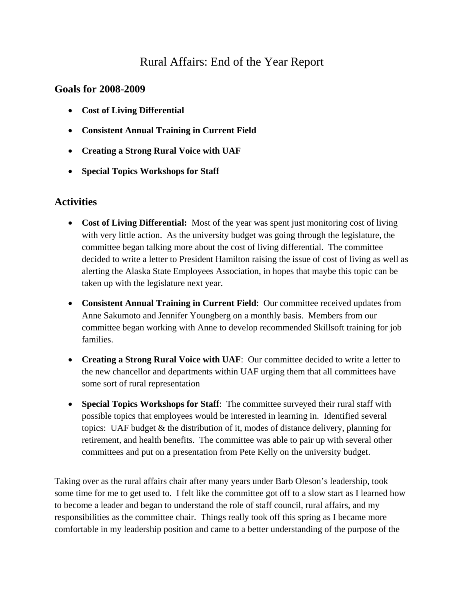## Rural Affairs: End of the Year Report

## **Goals for 2008-2009**

- **Cost of Living Differential**
- **Consistent Annual Training in Current Field**
- **Creating a Strong Rural Voice with UAF**
- **Special Topics Workshops for Staff**

## **Activities**

- **Cost of Living Differential:** Most of the year was spent just monitoring cost of living with very little action. As the university budget was going through the legislature, the committee began talking more about the cost of living differential. The committee decided to write a letter to President Hamilton raising the issue of cost of living as well as alerting the Alaska State Employees Association, in hopes that maybe this topic can be taken up with the legislature next year.
- **Consistent Annual Training in Current Field**: Our committee received updates from Anne Sakumoto and Jennifer Youngberg on a monthly basis. Members from our committee began working with Anne to develop recommended Skillsoft training for job families.
- **Creating a Strong Rural Voice with UAF**: Our committee decided to write a letter to the new chancellor and departments within UAF urging them that all committees have some sort of rural representation
- **Special Topics Workshops for Staff**: The committee surveyed their rural staff with possible topics that employees would be interested in learning in. Identified several topics: UAF budget & the distribution of it, modes of distance delivery, planning for retirement, and health benefits. The committee was able to pair up with several other committees and put on a presentation from Pete Kelly on the university budget.

Taking over as the rural affairs chair after many years under Barb Oleson's leadership, took some time for me to get used to. I felt like the committee got off to a slow start as I learned how to become a leader and began to understand the role of staff council, rural affairs, and my responsibilities as the committee chair. Things really took off this spring as I became more comfortable in my leadership position and came to a better understanding of the purpose of the